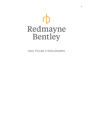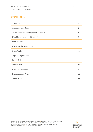# **CONTENTS**

| Overview                            | 3  |
|-------------------------------------|----|
| Corporate Structure                 | 5  |
| Governance and Management Structure | 6  |
| Risk Management and Oversight       | 8  |
| <b>Risk Appetite</b>                | 11 |
| <b>Risk Appetite Statements</b>     | 12 |
| Own Funds                           | 14 |
| <b>Capital Requirement</b>          | 15 |
| <b>Credit Risk</b>                  | 17 |
| <b>Market Risk</b>                  | 20 |
| <b>ICAAP</b> Governance             | 21 |
| <b>Remuneration Policy</b>          | 22 |
| <b>Coded Staff</b>                  | 23 |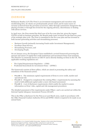## **OVERVIEW**

Redmayne Bentley LLP (The Firm) is an investment management and execution-only stockbroking firm. Its clients are predominantly private retail, and its main source of revenue is derived from the provision of services, either through commission charged for the placing of trades or through fees levied for the ongoing advisory, discretionary or dealing with advice services.

In April 2021, the Firm started the third year of its five-year plan but, given the impact COVID-19 had on business priorities, the Boards made some revisions for the final two years of the strategic plan cycle. The Firm is committed to the five-year plan and has invested in both income-generating activities and streamlining processes.

- Business Growth (primarily increasing Funds under Investment Management);
- Excellent Client Service;
- Streamlining Processes, and
- Developing People.

On 1st January 2014, the European Union established a revised framework governing the amount and nature of capital that credit institutions and investment firms must maintain. The Directive is commonly known as CRD IV and is directly binding on firms in the UK. The applicable resulting regulations are:

- The Capital Requirements Regulation (CRR)
- Prudential Sourcebook for Investment Firms (IFPRU)

The framework consists of three pillars, which are aimed at promoting the safety and soundness of the financial system:

- **PILLAR 1** The minimum capital requirements of firms to cover credit, market and operational risk
- **PILLAR 2** Designed to complement the existing Pillar 1 requirements by assessing the need to hold additional capital under a more risk-based assessment
- **PILLAR 3** A set of disclosure requirements which enable the market to assess information on firms' risks, capital and risk management procedures

The detailed assessment of the requirements under Pillars 1 and 2 are carried out within the Internal Capital Adequacy Assessment Process (ICAAP).

This is the Pillar 3 disclosure for the Firm as at 31st March 2021, made in accordance with the CRR, Financial Conduct Authority (FCA) and IFPRU which is required to be made on an annual basis.

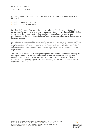As a significant IFPRU Firm, the Firm is required to hold regulatory capital equal to the highest of:

- Pillar 1 Capital requirements
- Pillar 2 Capital Requirements

Based on the Financial Statements for the year ended 31st March 2021, the financial performance is considered to have been encouraging with an increase in profitability during an extremely challenging year from both market and operational perspectives due to the global pandemic. Results at the start of 2021/22 are also encouraging, surpassing the start of the 2020/21 year.

As part of the preparation of the Financial Statements, the Firm needs to consider the Going Concern assessment of the Firm. A number of scenarios were modelled to understand the implications of the pandemic on operations and revenue streams. The Main Board was comforted that the Firm was more than adequately placed to deal with any of the adverse implications.

The Firm conducted the ICAAP incorporating the Firm's Financial Statements for the year ended 31st March 2021, the Risk Management Framework, the Firm's Risk Appetite Statements and the results of the stress tests conducted within this report. Overall, it is considered that regulatory capital of £5.392m is appropriate based on the Firm's Pillar 1 Capital Requirements.

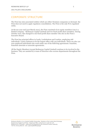# CORPORATE STRUCTURE

The Firm has nine associated entities which are either Nominee companies or dormant. the Firm does not need to apply regulatory consolidation. The Firm is the only FCA-regulated entity.

At the tax-year end (31st March 2021), the Firm consisted of six equity members (one is a limited company - Redmayne Capital Limited) and two fixed-profit share members. During October 2021, this changed to one fixed-profit share member who sits on the Firm's Executive Board.

The Firm has principal offices in Leeds, Locksbottom and London, employing 268 individuals. Leeds continues to be the largest office with 194 individuals. There are also 120 non-employed individuals who work under one of the following agreements: franchise, franchise associate or associate agreements.

All the Equity Members (except Redmayne Capital Limited) continue to be involved in the business. They are assisted by a team of Directors who oversee departments throughout the Firm.

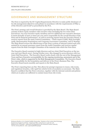## GOVERNANCE AND MANAGEMENT STRUCTURE

The Firm is required by the EU Capital Requirements Directive to make public disclosure of its risk management objectives and policies in accordance with the requirements of Pillar 3 of the Directive and ICAAP as prescribed by the FCA.

The Firm's strategy and overall direction is provided by the Main Board. The Main Board consists of three equity members with executive roles (including the two Joint Chief Executives), two non-executive equity members and two additional non-executive directors. It meets formally at least 10 times per year and is responsible for the overall direction of the Firm and its financial performance. As well as receiving reports from the Executive Board, it receives reports from the main Control Committees – Client Assets (CASS), Risk Oversight, Audit, Remuneration Nominations and Corporate Governance Committee, and IT Strategy. The Main Board reviews the effectiveness of the Firm's system of internal control each year, assisted by an annual assurance report from the Audit Committee and receives regular reports from the Risk Oversight Committee of the material risks which the Firm faces.

The Executive Board consisted of eight directors and two Joint Chief Executives at the taxyear end (31st March 2021). During October 2021, this changed to seven directors with two Joint Chief Executives. The Executive Board works closely with the rest of the Management Team and have Executive accountability for the ongoing monitoring, assessment and of the Firm's risks, which is supported by the Risk Management Committees. The Executive Board has responsibility for the formulation and delivery of the Firm's Business Plan. The Executive Board meets monthly and reports to the Main Board.

The Firm's reporting lines are flat. This allows for prompt responses to issues, risk events, and regulatory breaches, with rapid but orderly levels of escalation as necessary. The Main Board is confident that the Firm's structure, together with the internal controls and policies which are in place are sufficient to contain losses from risk events.

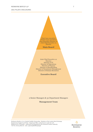Chair (non-executive) Partner (non-executive) Non-Executive Director x2 Joint Chief Executive x2 **Director** 

**Main Board**

Joint Chief Executive x2 Director Director of IT Director of Operations Director of Finance Director of Stockbroking Director of Investment Management Director of Human Resources

**Executive Board**

2 Senior Managers & 32 Department Managers

#### **Management Team**

rD Redmayne Bentley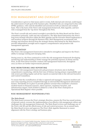# RISK MANAGEMENT AND OVERSIGHT

Consideration is given to what issues and/or events, both internal and external, could impact the achievement of each goal of the business plan. Identified risks are categorised in line with IFPRU guidance, with controls identified and assessed on both an inherent and residual basis. This is the basis of the Firm's risk management framework, Risk Appetite, and how risk is managed from the 'top-down' throughout the Firm.

The Firm's overall risk and control oversight is provided by the Main Board and the Firm's committees (primarily, audit and risk committees). The Main Board determines the Firm's long-term strategic direction within the Risk Appetite and the Executive Board implements it and monitors progress through the Business Plan. Risk Management recommends risk strategy and measures derived from the strategic themes determined by the Main Board to provide independent oversight and to support a comprehensive and proactive risk management approach.

## **RISK STRATEGY**

The Firm's risk management framework is intended to strengthen and improve the Firm's ability to manage existing and emerging risks.

During 2020/21, the Firm continued to evolve the risk management framework developing monitoring and understanding to better manage the potential exposure of clients and the Firm. As the Firm drives towards a mature risk management framework, throughout 2021/22 there are further improvements planned.

## **RISK MONITORING AND REPORTING**

The Firm's risk management framework and governance structures aim to facilitate comprehensive monitoring, with the first Line of Defence having primary responsibility and risk owners providing regular and ad-hoc reports on material risks to the relevant Executive and Control Committees.

To ensure that the crystallisation of risks is captured and managed, a business incident and near-miss reporting process completed through an internal Risk Management Information System. Thresholds are in place to provide guidance around what constitutes a business incident based on financial exposure, client exposure, regulatory breaches, and infrastructure impact. Each incident is linked to a risk on the Firm's Enterprise or Operational Risk Register where possible.

## **RISK MANAGEMENT RESPONSIBILITIES**

#### **The Main Board**

The Main board oversees the Firm's strategic direction, ensures the Firm has sound systems of internal control, oversees the implementation of an effective risk management culture and challenges the risk management framework. The Main Board reviews and challenges any of the Firm's risk MI and the effectiveness of risk and control processes. On an annual basis, the Main Board reviews and approves The Firm's Risk Appetite Statement to ensure alignment with the Firm's strategy and business plan.

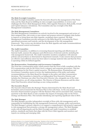#### **The Risk Oversight Committee**

The Risk Oversight Committee assists the Executive Board in the management of the Firms risks and the Main Board in fulfilling its risk oversight responsibilities; it reviews and challenges the Firm's Risk Management Policy, Risk Appetite Statement, Risk profile, ICAAP and Capital Adequacy calculations. The Committee also has oversight of the Risk Management Committees.

#### **The Risk Management Committees**

The Risk Management Committees are actively involved in the management and review of their assigned risks, risk events or near misses and propose actions to mitigate risks further to improve or bring them into Risk Appetite, escalating where required. The Risk Management Committees provide assurance to the Main Board by overseeing the Firm's operational processes and controls, and the development of the risk management framework. They review any deviations from the Risk Appetite and make recommendations for an enhanced control environment.

#### **The Audit Committee**

The Audit Committee, in addition to overseeing financial reporting and effectiveness of Internal Audit, assesses the adequacy and effectiveness of internal controls, including the risk management framework. The Audit Committee monitors compliance with internal policies and procedures as determined in department manuals. It also ensures that processes are effective and sufficient action has been taken to manage material risks and that the Firm is operating within its defined appetite.

#### **The Remuneration, Nominations and Governance Committee**

The Firm has a remuneration policy which ensures that the Firm is fully compliant with the FCA remuneration code for the Firm's level 3 category and corporate governance. This has no implications for the Firm's capital resources. The Remuneration, Nominations and Governance Committee meets to review the implementation of the policy and makes recommendations to the Main Board for changes to the policy and other remuneration decisions. The Committee is chaired by an Independent Non-Executive Director and includes the Chairman one other Non-Executive Director who, alongside one of the Joint Chief Executives, are all voting members. The Director of Human Resources and the other Joint Chief Executive attend meetings as non-voting members.

#### **The Executive Board**

The Executive Board takes the Strategic Themes determined by the Main Board and formulates and recommends the Business Plan in line with these. As the year progresses, the Executive Board monitors progress with the Business Plan and its associated risks, reporting quarterly to the Main Board. It also considers the impact of emerging risks on the Firm's strategy and Business Plan. This includes identifying and reporting significant risks to ROC.

#### **The Risk Manager**

The Risk Manager provides independent oversight of firm-wide risk management and is responsible for establishing the risk management framework, strategy, policy and practices. The Risk Manager's primary objective is to support a comprehensive and proactive approach to risk management that promotes a strong risk management culture. The Risk Manager works with all departments and the Risk Oversight and Audit Committees to establish policies, standards and limits that align with the Firm's Risk Appetite and monitors and reports on existing and emerging risks.

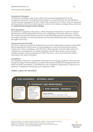#### **Department Managers**

In addition to building a risk-aware culture and ensuring implementation of risk management processes, all departmental managers are responsible for the identification, monitoring and management of risks within their respective area. Where risks are measured as being outside of the Firm's Risk Appetite, action is to be taken to mitigate them, driven by the departmental manager/senior manager.

#### **Risk Champions**

In addition to supporting risk owners, a Risk Champion Framework is in place to enhance the Enterprise & Operational Risk Framework, embedding a firmwide risk-aware culture. The Framework provides further assurance to the Risk Management Committees, the Risk Oversight Committee, the Executive Board and the Main Board that risks are being managed throughout the Firm.

#### **Outsourced Internal Audit**

The Firm's Outsourced Internal Audit function provides independent assurance to the Main Board regarding the effectiveness of risk management, control and internal procedures employed to ensure compliance with The Firm's Risk Appetite. Internal Audit reports its evaluations to management, the Audit Committee and the Main Board. Internal Audit includes periodic reviews undertaken by BDO, the Firm's outsourced Internal Auditors, reporting to the Audit Committee.

#### **Compliance**

The mandate of the Firm's Compliance Department is to manage regulatory risk across the business to align with the policies, processes and controls established and approved by the Audit and Risk Committees. To facilitate this, the Compliance Department is split into two functions: Compliance Monitoring and Compliance Policy.

## **THREE LINES OF DEFENCE**



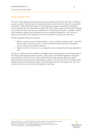# RISK APPETITE

The Firm's Risk Appetite articulates the type and quantum of risk that the Firm is willing to accept in pursuit of achieving its strategic objectives, and the Executive Board is responsible for setting it with Main Board approval. Risk Appetite is based on qualitative statements which articulate the risk-taking intent of the Firm. The primary objective of the Risk Appetite is to protect the Firm from an unacceptable level of financial performance volatility, conduct and compliance failures and subsequent adverse reputational impact(s). A key driver to doing so successfully is the alignment of our risk appetite to strategy and objectives.

The Risk Appetite statements include:

- Risks we accept as part of doing business such as credit and market risks and risks that we take to generate income - such as operational risks which are managed to remain within an acceptable tolerance.
- Risks for which we have low or zero appetite such as reputational risk and regulatory risk.

The Firm considers current conditions, identified risks, and the prospect of emerging risks in developing and applying its Risk Appetite. Adherence to overall Risk Appetite is managed and monitored across the Firm, and is informed by the Risk Appetite Statement, Risk Reporting and a broad spectrum of principles, policies, processes and tools. The Firm's Risk Appetite Statements describe the Firm's risk principles, expresses its appetite for risk. The actual risks it faces are monitored through risk reporting.

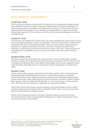## RISK APPETITE STATEMENTS

## **STRATEGIC RISK**

The Firm aims to minimise the potential for financial loss or reputational damage arising from ineffective business strategies, improper implementation of business strategies or a lack of responsiveness to changes in the business environment. The Firm will at all times maintain financial strength to ensure stability and sustainability to support its strategic themes that support the Firm's mission and Vision, while not compromising its core values and behaviours.

## **CONDUCT RISK**

The Firm has zero appetite for conduct risks and seeks to minimise the opportunity for them to arise by aligning strategy, process and operations. The Firm's tolerance to conduct risk is informed by the fact that crystallised conduct risks can result in client, financial, brand reputation or regulatory detriment. The Firm's priority is to deliver excellent client outcomes, as client service is central to its business culture. The Firm's vision prioritises its reputation above profitability alone by being a trusted provider of personal investment services.

## **OPERATIONAL RISK**

The Firm accepts that operational risk is present in the course of achieving its strategic objectives and pursues robust processes and controls in accordance with FCA rules in order to mitigate and minimise these risks within set thresholds, but it has zero appetite for poor client outcomes. Identified issues are investigated with the appropriate remedial action taken

## **MARKET RISK**

Market risk provides strategic opportunity for the Firm and the nature of its investment management and stockbroking services mean it needs to have exposure to markets. However, the Firm seeks a balanced approach to market risk to maximise profit for both clients and the Firm, while mitigating away from the extremes of market volatility. Market Risk operates within predefined thresholds that are set in the interests of clients and the Firm. The Firm has zero tolerance to undertake any proprietary trading.

Much of the Firm's client money is kept in sterling, with limited foreign currency held to facilitate settlement and dealing activity on behalf of clients and/or to mirror those client deposit accounts held in a foreign currency.

Market risk incorporates Interest risk where a similarly balanced approach between maximising returns while ensuring suitable institutions are utilised and adequate client money protections are maintained.

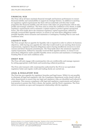## **FINANCIAL RISK**

The Firm will at all times maintain financial strength and business performance to ensure financial stability and sustainability to support its strategic themes. In addition to meeting its regulatory capital requirements the Firm will not undertake activities that would jeopardise this financial stability and will ensure risks taken are proportionate with its risk profile and strategic ambitions. The Firm aims to retain the confidence of its clients, to fulfil regulatory requirements and to maintain a capital surplus to protect against unexpected losses. The Firm holds above the minimum regulatory capital requirement, defined by annually reviewed Risk Appetite metrics, to ensure it can meet these obligations under possible liquidity stress scenarios and maintains a Contingency Funding Plan in case such conditions arise.

## **LIQUIDITY RISK**

The Firm accepts that an appetite for liquidity risk is required in order to achieve its business objectives, while having zero appetite for risks that would result in not meeting client money requirements, regulatory financial obligations and/or having insufficient resources to meet current and future financial commitments. The Firm holds above the minimum regulatory capital requirement, defined by annually reviewed Risk Appetite metrics, to ensure it can meet these obligations under possible liquidity stress scenarios and maintains a Contingency Funding Plan in case such conditions arise.

## **CREDIT RISK**

The Firm will only engage with counterparties who are creditworthy and manage exposure by setting appropriate credit limits and monitoring collateral positions.

The Firm only transacts with counterparties authorised by the FCA (or an equivalent regulatory body) and regular credit and trading checks are carried out.

## **LEGAL & REGULATORY RISK**

The Firm has zero appetite for regulatory breaches and legal issues. While it is not possible to eliminate all legal and regulatory risk, the Compliance department works closely with all other departments to ensure that any legal and regulatory risks are identified and reduced to a minimum. This ensures compliance with legal and regulatory requirements and industry best practice to protect the Firm's clients, the market, and the Firm's reputation. The Firm strives to maintain an open and transparent relationship with the regulator.

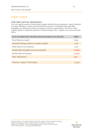# OWN FUNDS

## **TIER ONE CAPITAL RESOURCES**

Tier one capital consists of Partnership Capital, divided between Members' capital classified as equity, Members' current accounts and other reserves. Intangible assets and other intangibles are deducted in full in accordance with FCA requirements. The Firm's Total Capital, which is comprised entirely of 'Common Equity Tier 1' capital, is set out in the table below.

| AS AT 31st MARCH 2021 TIER ONE CAPITAL WAS MADE UP AS FOLLOWS: | £000'S  |
|----------------------------------------------------------------|---------|
| <b>Fixed Members capital</b>                                   | 8,635   |
| Retained Earnings (undrawn members capital)                    | 7,612   |
| Other Reserves (revaluation)                                   | 2.067   |
| Disallowable Intangible Assets and Goodwill                    | (2,840) |
| Disallowable Investments                                       | (2,067) |
| Other Adjustments                                              | (94)    |
|                                                                |         |
| Total tier 1 capital / Total Capital                           | 13,324  |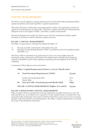# CAPITAL REQUIREMENT

The Firm's overall regulatory capital requirements are determined after performing Pillar 1 capital calculations and assessing Pillar 2 capital requirements.

This allows the Firm to determine, and subsequently monitor, the appropriate amount of capital to be held based on its risk profile. The Firm's capital requirement is determined by taking the sum of, the higher of Pillar 1 and Pillar 2 capital requirements

During the financial year ended 31st March 2021, the Firm maintained surplus capital resources at all times to satisfy minimum capital resources.

### **PILLAR 1 CAPITAL REQUIREMENT**

The Pillar 1 requirement is calculated by taking the higher of:

- i) the sum of credit, counterparty and market risk; and
- ii) the Fixed Overhead Requirement ("FOR") (as defined in the FCA handbook under GENPRU 2.2).

The Firm's FOR is calculated at £5,392k based on prior year and is higher than the calculated credit, counterparty and market risk requirements of £852k, these being the exposures identified as part of the regulatory reporting cycle and applied at the 8% risk weighting.

A summary of these figures can be seen below:

#### **Pillar 1 Capital Requirement (£000's, as at 31st March 2021)**

| A) | <b>Fixed Overhead Requirement ('FOR')</b>          | £5,392 |
|----|----------------------------------------------------|--------|
|    | Credit and Counterparty Risk                       | £777   |
|    | Market Risk                                        | £74    |
| B) | <b>Sum of Credit, Counterparty and Market Risk</b> | £852   |
|    | PILLAR 1 CAPITAL REQUIREMENT (higher of A and B)   | £5,392 |

#### **PILLAR 2 REGULATORY CAPITAL REQUIREMENT**

Pillar 2 requires firms to calculate the internal capital they consider necessary to cover all risks that they are, or are likely to be, exposed to. It also requires firms to consider the costs associated with winding the Group down (Orderly Wind Down) and various stress scenarios (market-wide, firm-specific and combinations). The Pillar 2 capital requirements are outside the scope of this disclosure document.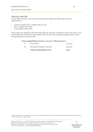## **CAPITAL RATIOS**

As per CRR Article 92, the Firm must at all times satisfy the following own fund requirements:

- Common Equity Tier 1 capital ratio of 4.5%
- Tier 1 capital ratio of 6%
- Total capital ratio of 8%

These ratios are applied to the total risk exposure amount<sub>1</sub>, being £67.4m for the Firm. As at 31st March 2021, the Firm's total capital ratio was over the minimum requirement at 18.%. Further details are shown below.

## **Total Capital Ratio (£000's, as at 31st March 2020)**

|              | <b>Total Capital Ratio (i/ii)</b> | <b>20%</b> |
|--------------|-----------------------------------|------------|
| ii)          | <b>Total Risk Exposure Amount</b> | £67,401    |
| $\mathbf{i}$ | Own Funds                         | £13,324    |

<sup>1</sup> Total Risk Exposure is taken from the March 2021 COREP return. This number reflects the Fixed Overhead Requirement, the Credit, Counterparty, Market Risks.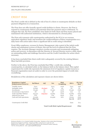# CREDIT RISK

The Firm's credit risk is defined as the risk of loss if a client or counterparty defaults on their payment obligations in a transaction.

The Firm does not offer formally agreed credit facilities to clients. However, the Firm is exposed to counterparty failures and potential client late payment and/or settlement. To mitigate this risk, the Firm establishes clear limits for both client and firm money placed and maintained with authorised institutions, which is documented in a formal policy.

The Firm only transacts with counterparties authorised by the FCA (or an overseas equivalent regulatory body) and monitors the creditworthiness of these counterparties on a daily basis with action taken where a significant fall in credit rating is identified.

Front Office employees, overseen by Senior Management, take control of the initial credit checks and subsequent reviews of clients; this sets the level of collateral that the Firm requires. The Accounts Manager monitors overdue accounts and recommends mitigating action and recovery, in discussion with the Director of. Several Director receive a daily report on outstanding debts and challenge Executives and the Credit Controllers for action where necessary.

It has been concluded that client credit risk is adequately covered by the existing Balance Sheet bad debt provision.

Further to the above, the Firm has concluded that Pillar 1 credit risk, excluding counterparties, is calculated solely on the balances held on the balance sheet. This capital requirement for credit risk represents the minimum level of regulatory capital resources a financial organisation must set aside in order to cover the potential impact of credit risks crystallising.

Breakdowns of the calculation and exposure classes are shown below.

| <b>Regulatory Capital</b><br><b>Requirement (£000's)</b>                                                                                                              | <b>Bal'Sheet</b>                                                       | Adj'                                | <b>Net</b>                                             | <b>Risk</b><br><b>Weighting</b>                      | <b>RWA</b>                                                        | 8% Cap<br>Req'                                            |
|-----------------------------------------------------------------------------------------------------------------------------------------------------------------------|------------------------------------------------------------------------|-------------------------------------|--------------------------------------------------------|------------------------------------------------------|-------------------------------------------------------------------|-----------------------------------------------------------|
| Tangible Assets<br><b>Intangible Assets</b><br>Investments<br>Investments w/sig Control<br>Trade and Other Debtors<br>Deferred Tax Asset<br>Cash and Cash equivalents | £474<br>£2,840<br>£2,450<br>£8<br>£43,321<br>£76<br>£14,566<br>£63,735 | (E2, 840)<br>£o<br>£ο<br>(E39, 651) | £474<br>£o<br>£2,450<br>£8<br>£3,669<br>£76<br>£14,566 | 100%<br>$0\%$<br>100%<br>250%<br>100%<br>250%<br>20% | £474<br>£o<br>£2,450<br>£20<br>£3,669<br>£190<br>£2,913<br>£9,716 | £38<br>£o<br>£196<br>$E_2$<br>£294<br>£15<br>£233<br>£777 |
| Counterparty Credit Risk                                                                                                                                              |                                                                        |                                     |                                                        |                                                      | £929                                                              | £74                                                       |
| <b>Total Credit Risk Capital Requirement</b>                                                                                                                          |                                                                        |                                     |                                                        | £852                                                 |                                                                   |                                                           |

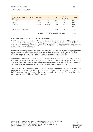| <b>Credit Risk Exposure Classes</b><br>(£000's) | <b>Balance</b>                               | Adj'       | <b>Net</b> | <b>Risk</b><br><b>Weighting</b> | <b>Cap Req'</b> |
|-------------------------------------------------|----------------------------------------------|------------|------------|---------------------------------|-----------------|
| Institutions                                    | £14,566                                      | £о         | £14,566    | 2%                              | £233            |
| Equity                                          | £2,458                                       | £о         | £2,458     | 8%                              | £198            |
| Other items                                     | £46,711                                      | (E42, 492) | £4,219     | 8%                              | £347<br>£777    |
| Counterparty Credit Risk                        |                                              |            | £929       | 8%                              | £74             |
|                                                 | <b>Total Credit Risk Capital Requirement</b> | £8,52      |            |                                 |                 |

## **COUNTERPARTY CREDIT RISK (BANKING)**

Counterparty credit risk refers to the risk associated to a counterparty, that being a party engaged with for trading purposes. The largest counterparty risks, therefore, relate to custodians and banking institutions, with the latter posing the largest potential impact in the event of a counterparty default.

Banking relationships are for two purposes: First, for the Firm's cash, that being required to operate the business which is assessed in the credit risk section. Second, for client cash, where far larger balances are held with banks on the Firm's client's behalf.

Client money policies is operated and maintained by the CASS committee which determines which institutions can be used based primarily on credit rating and geographical location. It also determines the diversification requirements of the Firm to ensure that client money is deposited amongst a number of institutions to mitigate concentration risk

The Firm has a Treasury Management function, a CASS Committee and Executive Board and Main Boards who all review the Firm's client money balance, via a monthly report. This includes, amongst other things, the latest balances and credit ratings, allowing action to be taken swiftly were the Firm's policy breached.

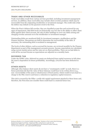## **TRADE AND OTHER RECEIVABLES**

Trade receivables result from various services provided, including investment management services. In addition, these receivables may include client overdue positions which may be recoverable from the originating stockbroker or investment manager. The credit risk is that the debtor may default on the payment owed to the Firm.

When the Firm's debtors fall overdue, they are classified as past due and reviewed for any signs of impairment. Bad debt levels are historically very low due to the ability to offset client debts against their client account, the sale of other holdings to cover any debts arising and charging overdue amounts on to the stockbroker or investment manager.

Outstanding debts are monitored daily by investment managers, stockbrokers and the Finance function. Discussions are held to determine the recoverability of the debt. If necessary, the outstanding debt is escalated to management.

The levels of other debtors, such as accrued fee income, are reviewed monthly by the Finance department as part of the management accounts process. Income expectations are calculated using current market prices and fee rates set on client portfolios. There are no bad debts to write off for accrued income as expectations are adjusted on a monthly basis.

### **DEFERRED TAX**

Under the IFPRU rules, deferred tax assets are deducted from capital resources in full when the asset is dependent on future profitability. Accordingly, £76,000 has been deducted in full.

### **OTHER ASSETS**

Although other balance sheet assets do not have a "counterparty credit" as such, there is a future potential risk that the value of these balances would have to be written down (e.g., non- recoverability of the asset or obsolescence of fixed assets), which would in turn lead to a charge to the P&L reserve and hence a reduction in regulatory capital resources.

This risk is covered by the Pillar 1 credit risk capital requirement attached to these items and, therefore, the Firm does not consider these could lead to a material future loss.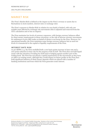## MARKET RISK

The Firm's Market Risk is defined as the impact on the Firm's revenue or assets due to fluctuations in stock markets, interest rates or exchange rates

The Firm's exposure to Market Risk in relation its own funds is limited, with only one notable asset affected by exchange rate movements (this is adjusted and removed from the CET1 calculation and so has no impact).

The Firm maintains low levels of currency exposures, with foreign currency balances offset by client money requirements in those currencies, so the risk of adverse currency movements for settlement of non-GBP trades on behalf of clients is not borne by the Firm. However, for operational benefits, the Firm maintains some foreign currency balances but as such low levels it is immaterial to the capital or liquidity requirements of the Firm.

### **INTEREST RATE RISK**

As per BIPRU 2.3, the Firm modelled both a 200 basis points increase in base rate and a 200-point reduction in base rate for the purpose of the ICAAP. The Firm does not hold liquid assets with the intention of trading for itself and/or hedging against another part of the trading book. The Firm has not placed a capital requirement on the movements as they have no effect on existing assets, although they would impact on future profits as the Firm does hold significant balances of client money deposits which are placed with a number of banking institutions and from which the Firm generates some interest.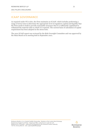As required under FCA rules, the Firm maintains an ICAAP, which includes performing a range of stress tests to determine the appropriate level of regulatory capital and liquidity that the Firm needs to hold to provide reasonable assurance that it is sufficiently capitalised to withstand the material risks to which it is exposed. The current basis of calculation of capital requirement has been adopted in the stress tests.

The 2021 ICAAP report was reviewed by the Risk Oversight Committee and was approved by the Main Board at its meeting held in September 2021.

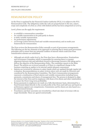# REMUNERATION POLICY

As the Firm is regulated by the Financial Conduct Authority (FCA), it is subject to the FCA Remuneration Code. The obligations under the code are proportionate to the size, nature, scope and complexity of a firm as a firm with limited activity has been categorised as Level 3.

Level 3 firms can dis-apply the requirement:

- to establish a remuneration committee
- for variable remuneration to be paid partly in shares
- to defer variable remuneration
- for performance adjustments
- on leverage (ratios between fixed and variable remuneration); and on multi-year frameworks for remuneration

The Firm reviews the Remuneration Policy annually as part of governance arrangements. The following are the key elements of its approach to ensuring that it meets good governance principles and to ensure that any potential conflicts of interest which could arise from remuneration schemes are minimised.

- Although not strictly under level 3, the Firm does have a Remuneration, Nominations and Governance Committee which is responsible for ensuring there is a greater alignment between risk and individual reward to discourage excessive risk taking and to deliver the objective of the Remuneration Policy. The committee reports to the Main Board. The policies are reviewed annually or if there is a significant change to the business requiring an update to its internal capital adequacy assessment.
- Salaries are reviewed by reference to salary bands which are updated through regular job evaluation. Recommendations on salary reviews above 25% are made by Directors and considered by the Remuneration Committee. The Firm's remuneration arrangements represent a combination of fixed salaries and variable remuneration including bonus payments, commission and shares of management fees. The process is designed to align the interest of the Firm and its employees with those of its clients and other stakeholders to ensure the Firm's long-term profitability.
- Bonus payments to employees are made on a fully discretionary basis, determined by a fixed formula linked directly to the overall profits of the Firm each half year and based on performance against core competencies. Commission and fee shares are also based on a pre-determined formula.
- Franchisees and their associates are rewarded by a fixed rate share of revenue with no target thresholds. These are agreed contractually.